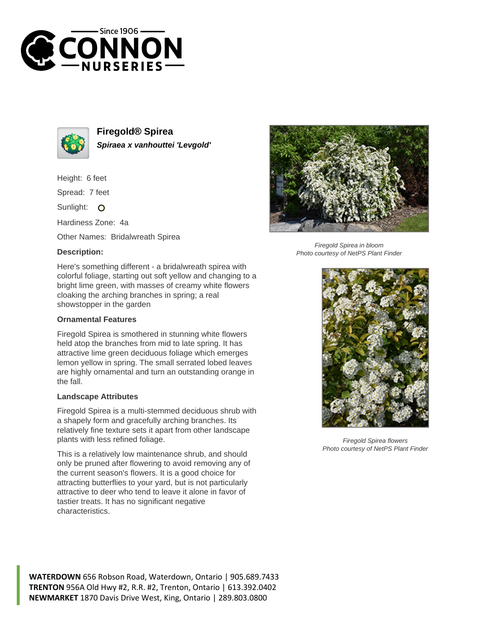



**Firegold® Spirea Spiraea x vanhouttei 'Levgold'**

Height: 6 feet

Spread: 7 feet

Sunlight: O

Hardiness Zone: 4a

Other Names: Bridalwreath Spirea

## **Description:**



## **Ornamental Features**

Firegold Spirea is smothered in stunning white flowers held atop the branches from mid to late spring. It has attractive lime green deciduous foliage which emerges lemon yellow in spring. The small serrated lobed leaves are highly ornamental and turn an outstanding orange in the fall.

## **Landscape Attributes**

Firegold Spirea is a multi-stemmed deciduous shrub with a shapely form and gracefully arching branches. Its relatively fine texture sets it apart from other landscape plants with less refined foliage.

This is a relatively low maintenance shrub, and should only be pruned after flowering to avoid removing any of the current season's flowers. It is a good choice for attracting butterflies to your yard, but is not particularly attractive to deer who tend to leave it alone in favor of tastier treats. It has no significant negative characteristics.



Firegold Spirea in bloom Photo courtesy of NetPS Plant Finder



Firegold Spirea flowers Photo courtesy of NetPS Plant Finder

**WATERDOWN** 656 Robson Road, Waterdown, Ontario | 905.689.7433 **TRENTON** 956A Old Hwy #2, R.R. #2, Trenton, Ontario | 613.392.0402 **NEWMARKET** 1870 Davis Drive West, King, Ontario | 289.803.0800